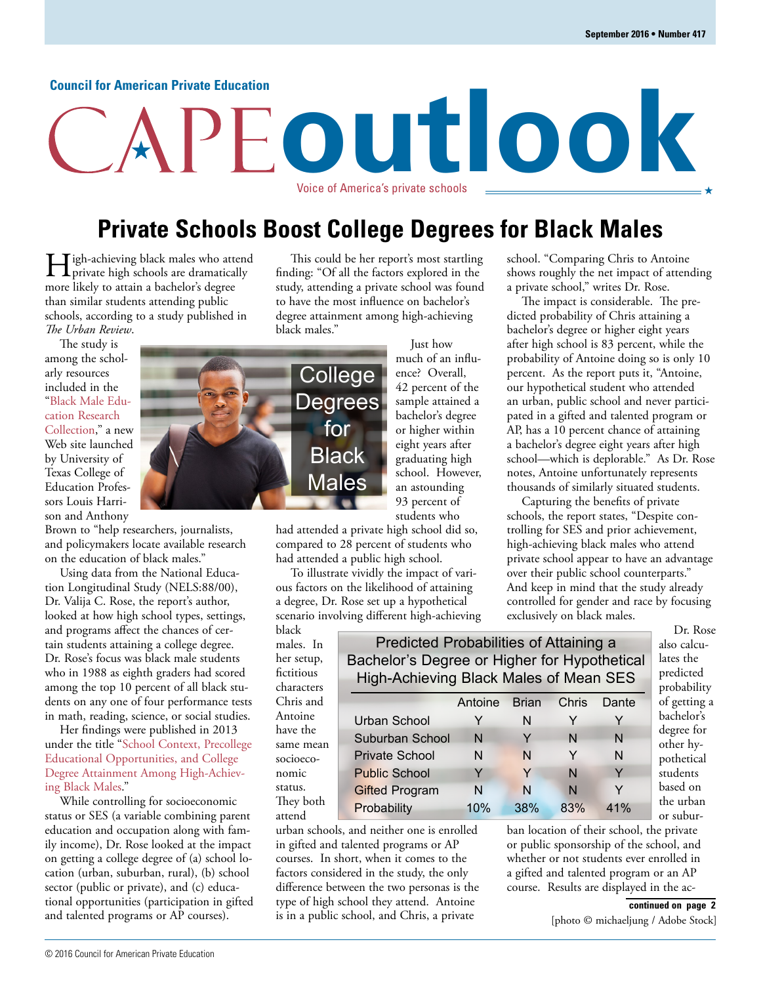#### **Council for American Private Education**

# **outlook** Voice of America's private schools

## **Private Schools Boost College Degrees for Black Males**

**Helph-achieving black males who attend private high schools are dramatically** more likely to attain a bachelor's degree than similar students attending public schools, according to a study published in *The Urban Review*.

The study is among the scholarly resources included in the "Black Male Education Research [Collection," a new](http://diversity.utexas.edu/black-male-education-research/) Web site launched by University of Texas College of Education Professors Louis Harrison and Anthony

Brown to "help researchers, journalists, and policymakers locate available research on the education of black males."

Using data from the National Education Longitudinal Study (NELS:88/00), Dr. Valija C. Rose, the report's author, looked at how high school types, settings, and programs affect the chances of certain students attaining a college degree. Dr. Rose's focus was black male students who in 1988 as eighth graders had scored among the top 10 percent of all black students on any one of four performance tests in math, reading, science, or social studies.

Her findings were published in 2013 [under the title "School Context, Precollege](http://link.springer.com/article/10.1007/s11256-013-0258-1) Educational Opportunities, and College Degree Attainment Among High-Achieving Black Males."

While controlling for socioeconomic status or SES (a variable combining parent education and occupation along with family income), Dr. Rose looked at the impact on getting a college degree of (a) school location (urban, suburban, rural), (b) school sector (public or private), and (c) educational opportunities (participation in gifted and talented programs or AP courses).

This could be her report's most startling finding: "Of all the factors explored in the study, attending a private school was found to have the most influence on bachelor's degree attainment among high-achieving black males."

Just how much of an influence? Overall, 42 percent of the sample attained a bachelor's degree or higher within eight years after graduating high school. However, an astounding 93 percent of students who

had attended a private high school did so, compared to 28 percent of students who had attended a public high school.

To illustrate vividly the impact of various factors on the likelihood of attaining a degree, Dr. Rose set up a hypothetical scenario involving different high-achieving

black males. In her setup, fictitious characters Chris and Antoine have the same mean socioeconomic status. They both attend

| Bachelor's Degree or Higher for Hypothetical<br>High-Achieving Black Males of Mean SES |     |     |     |     |
|----------------------------------------------------------------------------------------|-----|-----|-----|-----|
| Chris<br>Brian<br>Antoine<br>Dante                                                     |     |     |     |     |
|                                                                                        |     |     |     |     |
| Urban School                                                                           |     | N   |     |     |
| Suburban School                                                                        | N   | Y   | N   | N   |
| <b>Private School</b>                                                                  | N   | N   | Y   | N   |
| <b>Public School</b>                                                                   | Y   | Y   | N   | Y   |
| <b>Gifted Program</b>                                                                  | N   | N   | N   | Y   |
| Probability                                                                            | 10% | 38% | 83% | 41% |

Predicted Probabilities of Attaining a

urban schools, and neither one is enrolled in gifted and talented programs or AP courses. In short, when it comes to the factors considered in the study, the only difference between the two personas is the type of high school they attend. Antoine is in a public school, and Chris, a private

school. "Comparing Chris to Antoine shows roughly the net impact of attending a private school," writes Dr. Rose.

The impact is considerable. The predicted probability of Chris attaining a bachelor's degree or higher eight years after high school is 83 percent, while the probability of Antoine doing so is only 10 percent. As the report puts it, "Antoine, our hypothetical student who attended an urban, public school and never participated in a gifted and talented program or AP, has a 10 percent chance of attaining a bachelor's degree eight years after high school—which is deplorable." As Dr. Rose notes, Antoine unfortunately represents thousands of similarly situated students.

Capturing the benefits of private schools, the report states, "Despite controlling for SES and prior achievement, high-achieving black males who attend private school appear to have an advantage over their public school counterparts." And keep in mind that the study already controlled for gender and race by focusing exclusively on black males.

> Dr. Rose also calculates the predicted probability of getting a bachelor's degree for other hypothetical students based on the urban or subur-

ban location of their school, the private or public sponsorship of the school, and whether or not students ever enrolled in a gifted and talented program or an AP course. Results are displayed in the ac-

#### **continued on page 2**

[photo © michaeljung / Adobe Stock]

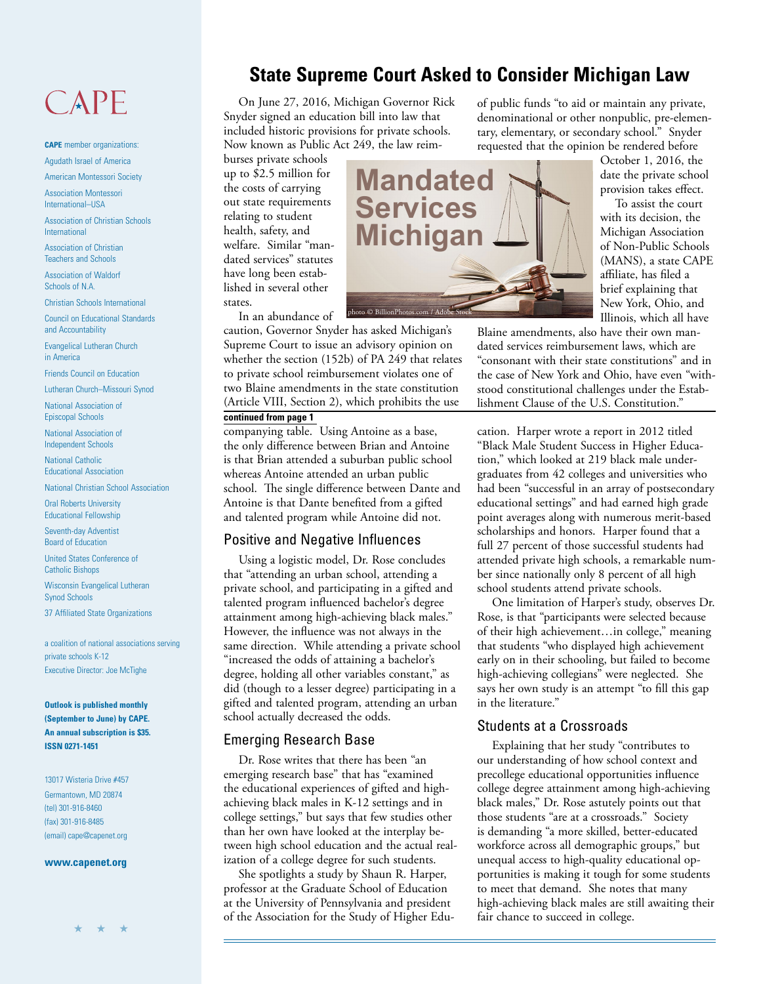## CAPE

**CAPE** member organizations: Agudath Israel of America

American Montessori Society

Association Montessori International–USA

Association of Christian Schools International

Association of Christian Teachers and Schools

Association of Waldorf Schools of N.A.

Christian Schools International

Council on Educational Standards and Accountability

Evangelical Lutheran Church in America

Friends Council on Education

Lutheran Church–Missouri Synod

National Association of Episcopal Schools

National Association of Independent Schools

National Catholic Educational Association

National Christian School Association

Oral Roberts University Educational Fellowship

Seventh-day Adventist Board of Education

United States Conference of Catholic Bishops

Wisconsin Evangelical Lutheran Synod Schools

37 Affiliated State Organizations

a coalition of national associations serving private schools K-12 Executive Director: Joe McTighe

**Outlook is published monthly (September to June) by CAPE. An annual subscription is \$35. ISSN 0271-1451**

13017 Wisteria Drive #457 Germantown, MD 20874 (tel) 301-916-8460 (fax) 301-916-8485 (email) cape@capenet.org

#### **www.capenet.org**

## **State Supreme Court Asked to Consider Michigan Law**

On June 27, 2016, Michigan Governor Rick Snyder signed an education bill into law that included historic provisions for private schools. Now known as Public Act 249, the law reim-

burses private schools up to \$2.5 million for the costs of carrying out state requirements relating to student health, safety, and welfare. Similar "mandated services" statutes have long been established in several other states.

In an abundance of

caution, Governor Snyder has asked Michigan's Supreme Court to issue an advisory opinion on whether the section (152b) of PA 249 that relates to private school reimbursement violates one of two Blaine amendments in the state constitution (Article VIII, Section 2), which prohibits the use

#### **continued from page 1**

companying table. Using Antoine as a base, the only difference between Brian and Antoine is that Brian attended a suburban public school whereas Antoine attended an urban public school. The single difference between Dante and Antoine is that Dante benefited from a gifted and talented program while Antoine did not.

#### Positive and Negative Influences

Using a logistic model, Dr. Rose concludes that "attending an urban school, attending a private school, and participating in a gifted and talented program influenced bachelor's degree attainment among high-achieving black males." However, the influence was not always in the same direction. While attending a private school "increased the odds of attaining a bachelor's degree, holding all other variables constant," as did (though to a lesser degree) participating in a gifted and talented program, attending an urban school actually decreased the odds.

#### Emerging Research Base

Dr. Rose writes that there has been "an emerging research base" that has "examined the educational experiences of gifted and highachieving black males in K-12 settings and in college settings," but says that few studies other than her own have looked at the interplay between high school education and the actual realization of a college degree for such students.

She spotlights a study by Shaun R. Harper, professor at the Graduate School of Education at the University of Pennsylvania and president of the Association for the Study of Higher Eduof public funds "to aid or maintain any private, denominational or other nonpublic, pre-elementary, elementary, or secondary school." Snyder requested that the opinion be rendered before

October 1, 2016, the date the private school provision takes effect.

To assist the court with its decision, the Michigan Association of Non-Public Schools (MANS), a state CAPE affiliate, has filed a brief explaining that New York, Ohio, and Illinois, which all have

Blaine amendments, also have their own mandated services reimbursement laws, which are "consonant with their state constitutions" and in the case of New York and Ohio, have even "withstood constitutional challenges under the Establishment Clause of the U.S. Constitution."

cation. Harper wrote a report in 2012 titled "Black Male Student Success in Higher Education," which looked at 219 black male undergraduates from 42 colleges and universities who had been "successful in an array of postsecondary educational settings" and had earned high grade point averages along with numerous merit-based scholarships and honors. Harper found that a full 27 percent of those successful students had attended private high schools, a remarkable number since nationally only 8 percent of all high school students attend private schools.

One limitation of Harper's study, observes Dr. Rose, is that "participants were selected because of their high achievement…in college," meaning that students "who displayed high achievement early on in their schooling, but failed to become high-achieving collegians" were neglected. She says her own study is an attempt "to fill this gap in the literature."

#### Students at a Crossroads

Explaining that her study "contributes to our understanding of how school context and precollege educational opportunities influence college degree attainment among high-achieving black males," Dr. Rose astutely points out that those students "are at a crossroads." Society is demanding "a more skilled, better-educated workforce across all demographic groups," but unequal access to high-quality educational opportunities is making it tough for some students to meet that demand. She notes that many high-achieving black males are still awaiting their fair chance to succeed in college.

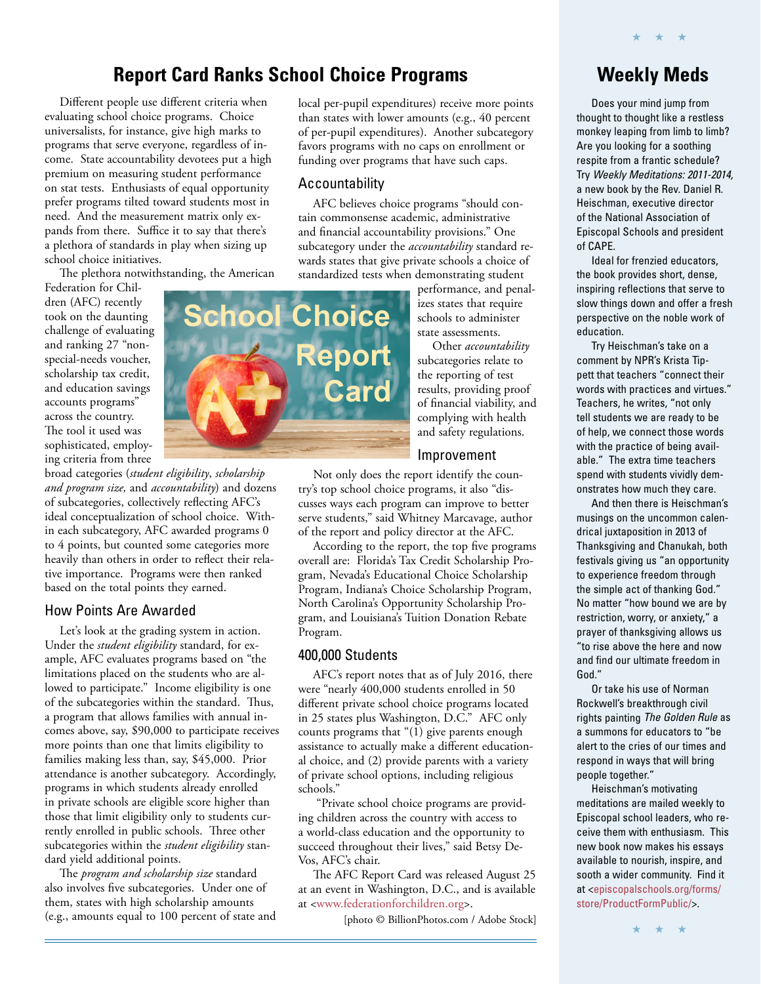## **Report Card Ranks School Choice Programs**

Different people use different criteria when evaluating school choice programs. Choice universalists, for instance, give high marks to programs that serve everyone, regardless of income. State accountability devotees put a high premium on measuring student performance on stat tests. Enthusiasts of equal opportunity prefer programs tilted toward students most in need. And the measurement matrix only expands from there. Suffice it to say that there's a plethora of standards in play when sizing up school choice initiatives.

The plethora notwithstanding, the American

Federation for Children (AFC) recently took on the daunting challenge of evaluating and ranking 27 "nonspecial-needs voucher, scholarship tax credit, and education savings accounts programs" across the country. The tool it used was sophisticated, employing criteria from three

broad categories (*student eligibility*, *scholarship and program size,* and *accountability*) and dozens of subcategories, collectively reflecting AFC's ideal conceptualization of school choice. Within each subcategory, AFC awarded programs 0 to 4 points, but counted some categories more heavily than others in order to reflect their relative importance. Programs were then ranked based on the total points they earned.

#### How Points Are Awarded

Let's look at the grading system in action. Under the *student eligibility* standard, for example, AFC evaluates programs based on "the limitations placed on the students who are allowed to participate." Income eligibility is one of the subcategories within the standard. Thus, a program that allows families with annual incomes above, say, \$90,000 to participate receives more points than one that limits eligibility to families making less than, say, \$45,000. Prior attendance is another subcategory. Accordingly, programs in which students already enrolled in private schools are eligible score higher than those that limit eligibility only to students currently enrolled in public schools. Three other subcategories within the *student eligibility* standard yield additional points.

The *program and scholarship size* standard also involves five subcategories. Under one of them, states with high scholarship amounts (e.g., amounts equal to 100 percent of state and local per-pupil expenditures) receive more points than states with lower amounts (e.g., 40 percent of per-pupil expenditures). Another subcategory favors programs with no caps on enrollment or funding over programs that have such caps.

#### Accountability

AFC believes choice programs "should contain commonsense academic, administrative and financial accountability provisions." One subcategory under the *accountability* standard rewards states that give private schools a choice of standardized tests when demonstrating student

performance, and penalizes states that require schools to administer state assessments.

Other *accountability* subcategories relate to the reporting of test results, providing proof of financial viability, and complying with health and safety regulations.

#### Improvement

Not only does the report identify the country's top school choice programs, it also "discusses ways each program can improve to better serve students," said Whitney Marcavage, author of the report and policy director at the AFC.

According to the report, the top five programs overall are: Florida's Tax Credit Scholarship Program, Nevada's Educational Choice Scholarship Program, Indiana's Choice Scholarship Program, North Carolina's Opportunity Scholarship Program, and Louisiana's Tuition Donation Rebate Program.

#### 400,000 Students

AFC's report notes that as of July 2016, there were "nearly 400,000 students enrolled in 50 different private school choice programs located in 25 states plus Washington, D.C." AFC only counts programs that "(1) give parents enough assistance to actually make a different educational choice, and (2) provide parents with a variety of private school options, including religious schools."

 "Private school choice programs are providing children across the country with access to a world-class education and the opportunity to succeed throughout their lives," said Betsy De-Vos, AFC's chair.

The AFC Report Card was released August 25 at an event in Washington, D.C., and is available at [<www.federationforchildren.org>.](http://www.federationforchildren.org/states-program-rank-see-afcs-201617-school-choice-report-card/)

[photo © BillionPhotos.com / Adobe Stock]

### **Weekly Meds**

★ ★ ★

Does your mind jump from thought to thought like a restless monkey leaping from limb to limb? Are you looking for a soothing respite from a frantic schedule? Try Weekly Meditations: 2011-2014, a new book by the Rev. Daniel R. Heischman, executive director of the National Association of Episcopal Schools and president of CAPE.

Ideal for frenzied educators, the book provides short, dense, inspiring reflections that serve to slow things down and offer a fresh perspective on the noble work of education.

Try Heischman's take on a comment by NPR's Krista Tippett that teachers "connect their words with practices and virtues." Teachers, he writes, "not only tell students we are ready to be of help, we connect those words with the practice of being available." The extra time teachers spend with students vividly demonstrates how much they care.

And then there is Heischman's musings on the uncommon calendrical juxtaposition in 2013 of Thanksgiving and Chanukah, both festivals giving us "an opportunity to experience freedom through the simple act of thanking God." No matter "how bound we are by restriction, worry, or anxiety," a prayer of thanksgiving allows us "to rise above the here and now and find our ultimate freedom in God."

Or take his use of Norman Rockwell's breakthrough civil rights painting The Golden Rule as a summons for educators to "be alert to the cries of our times and respond in ways that will bring people together."

Heischman's motivating meditations are mailed weekly to Episcopal school leaders, who receive them with enthusiasm. This new book now makes his essays available to nourish, inspire, and sooth a wider community. Find it [at <episcopalschools.org/forms/](http://www.episcopalschools.org/forms/store/ProductFormPublic/) store/ProductFormPublic/>.

★ ★ ★